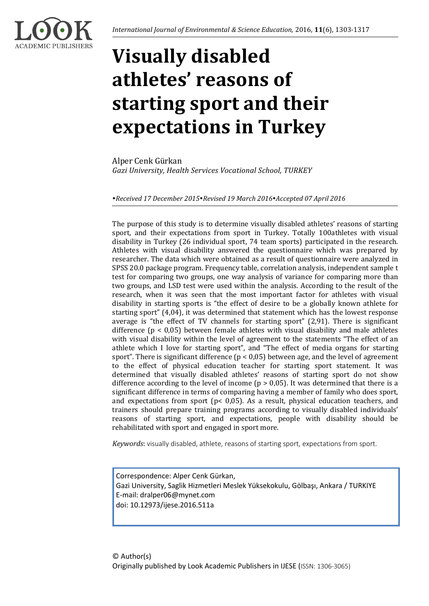

# **Visually disabled athletes' reasons of starting sport and their expectations in Turkey**

Alper Cenk Gürkan *Gazi University, Health Services Vocational School, TURKEY*

*Received 17 December 2015Revised 19 March 2016Accepted 07 April 2016*

The purpose of this study is to determine visually disabled athletes' reasons of starting sport, and their expectations from sport in Turkey. Totally 100athletes with visual disability in Turkey (26 individual sport, 74 team sports) participated in the research. Athletes with visual disability answered the questionnaire which was prepared by researcher. The data which were obtained as a result of questionnaire were analyzed in SPSS 20.0 package program. Frequency table, correlation analysis, independent sample t test for comparing two groups, one way analysis of variance for comparing more than two groups, and LSD test were used within the analysis. According to the result of the research, when it was seen that the most important factor for athletes with visual disability in starting sports is "the effect of desire to be a globally known athlete for starting sport" (4,04), it was determined that statement which has the lowest response average is "the effect of TV channels for starting sport" (2,91). There is significant difference  $(p < 0.05)$  between female athletes with visual disability and male athletes with visual disability within the level of agreement to the statements "The effect of an athlete which I love for starting sport", and "The effect of media organs for starting sport". There is significant difference ( $p < 0.05$ ) between age, and the level of agreement to the effect of physical education teacher for starting sport statement. It was determined that visually disabled athletes' reasons of starting sport do not show difference according to the level of income ( $p > 0.05$ ). It was determined that there is a significant difference in terms of comparing having a member of family who does sport, and expectations from sport ( $p$ < 0,05). As a result, physical education teachers, and trainers should prepare training programs according to visually disabled individuals' reasons of starting sport, and expectations, people with disability should be rehabilitated with sport and engaged in sport more.

*Keywords*: visually disabled, athlete, reasons of starting sport, expectations from sport.

Correspondence: Alper Cenk Gürkan, Gazi University, Saglik Hizmetleri Meslek Yüksekokulu, Gölbaşı, Ankara / TURKIYE E-mail: dralper06@mynet.com doi: 10.12973/ijese.2016.511a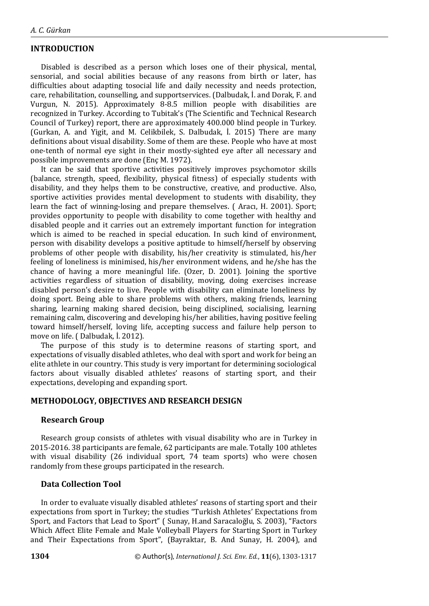# **INTRODUCTION**

Disabled is described as a person which loses one of their physical, mental, sensorial, and social abilities because of any reasons from birth or later, has difficulties about adapting tosocial life and daily necessity and needs protection, care, rehabilitation, counselling, and supportservices. (Dalbudak, İ. and Dorak, F. and Vurgun, N. 2015). Approximately 8-8.5 million people with disabilities are recognized in Turkey. According to Tubitak's (The Scientific and Technical Research Council of Turkey) report, there are approximately 400.000 blind people in Turkey. (Gurkan, A. and Yigit, and M. Celikbilek, S. Dalbudak, İ. 2015) There are many definitions about visual disability. Some of them are these. People who have at most one-tenth of normal eye sight in their mostly-sighted eye after all necessary and possible improvements are done (Enç M. 1972).

It can be said that sportive activities positively improves psychomotor skills (balance, strength, speed, flexibility, physical fitness) of especially students with disability, and they helps them to be constructive, creative, and productive. Also, sportive activities provides mental development to students with disability, they learn the fact of winning-losing and prepare themselves. ( Aracı, H. 2001). Sport; provides opportunity to people with disability to come together with healthy and disabled people and it carries out an extremely important function for integration which is aimed to be reached in special education. In such kind of environment, person with disability develops a positive aptitude to himself/herself by observing problems of other people with disability, his/her creativity is stimulated, his/her feeling of loneliness is minimised, his/her environment widens, and he/she has the chance of having a more meaningful life. (Ozer, D. 2001). Joining the sportive activities regardless of situation of disability, moving, doing exercises increase disabled person's desire to live. People with disability can eliminate loneliness by doing sport. Being able to share problems with others, making friends, learning sharing, learning making shared decision, being disciplined, socialising, learning remaining calm, discovering and developing his/her abilities, having positive feeling toward himself/herself, loving life, accepting success and failure help person to move on life. ( Dalbudak, İ. 2012).

The purpose of this study is to determine reasons of starting sport, and expectations of visually disabled athletes, who deal with sport and work for being an elite athlete in our country. This study is very important for determining sociological factors about visually disabled athletes' reasons of starting sport, and their expectations, developing and expanding sport.

#### **METHODOLOGY, OBJECTIVES AND RESEARCH DESIGN**

### **Research Group**

Research group consists of athletes with visual disability who are in Turkey in 2015-2016. 38 participants are female, 62 participants are male. Totally 100 athletes with visual disability (26 individual sport, 74 team sports) who were chosen randomly from these groups participated in the research.

## **Data Collection Tool**

In order to evaluate visually disabled athletes' reasons of starting sport and their expectations from sport in Turkey; the studies "Turkish Athletes' Expectations from Sport, and Factors that Lead to Sport" ( Sunay, H.and Saracaloğlu, S. 2003), "Factors Which Affect Elite Female and Male Volleyball Players for Starting Sport in Turkey and Their Expectations from Sport", (Bayraktar, B. And Sunay, H. 2004), and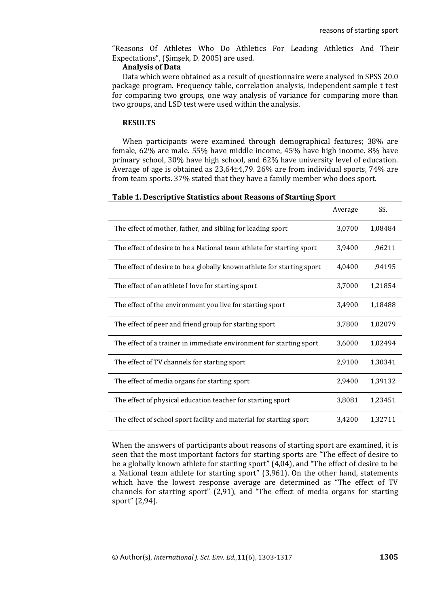"Reasons Of Athletes Who Do Athletics For Leading Athletics And Their Expectations", (Şimşek, D. 2005) are used.

## **Analysis of Data**

Data which were obtained as a result of questionnaire were analysed in SPSS 20.0 package program. Frequency table, correlation analysis, independent sample t test for comparing two groups, one way analysis of variance for comparing more than two groups, and LSD test were used within the analysis.

#### **RESULTS**

When participants were examined through demographical features; 38% are female, 62% are male. 55% have middle income, 45% have high income. 8% have primary school, 30% have high school, and 62% have university level of education. Average of age is obtained as 23,64±4,79. 26% are from individual sports, 74% are from team sports. 37% stated that they have a family member who does sport.

#### **Table 1. Descriptive Statistics about Reasons of Starting Sport**

|                                                                        | Average | SS.     |
|------------------------------------------------------------------------|---------|---------|
| The effect of mother, father, and sibling for leading sport            | 3,0700  | 1,08484 |
| The effect of desire to be a National team athlete for starting sport  | 3,9400  | ,96211  |
| The effect of desire to be a globally known athlete for starting sport | 4,0400  | ,94195  |
| The effect of an athlete I love for starting sport                     | 3,7000  | 1,21854 |
| The effect of the environment you live for starting sport              | 3,4900  | 1,18488 |
| The effect of peer and friend group for starting sport                 | 3,7800  | 1,02079 |
| The effect of a trainer in immediate environment for starting sport    | 3,6000  | 1,02494 |
| The effect of TV channels for starting sport                           | 2,9100  | 1,30341 |
| The effect of media organs for starting sport                          | 2,9400  | 1,39132 |
| The effect of physical education teacher for starting sport            | 3,8081  | 1,23451 |
| The effect of school sport facility and material for starting sport    | 3,4200  | 1,32711 |

When the answers of participants about reasons of starting sport are examined, it is seen that the most important factors for starting sports are "The effect of desire to be a globally known athlete for starting sport" (4,04), and "The effect of desire to be a National team athlete for starting sport" (3,961). On the other hand, statements which have the lowest response average are determined as "The effect of TV channels for starting sport" (2,91), and "The effect of media organs for starting sport" (2,94).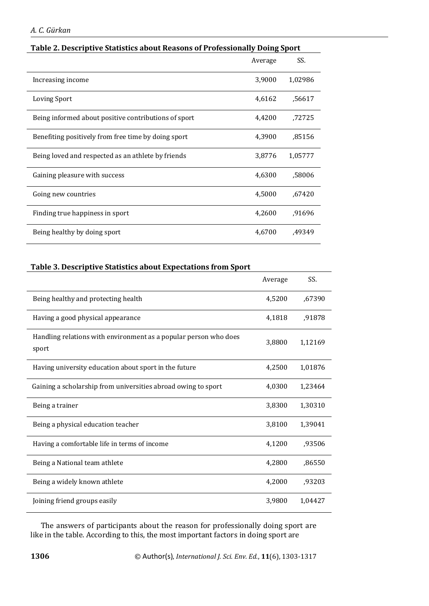|                                                      | Average | SS.     |
|------------------------------------------------------|---------|---------|
| Increasing income                                    | 3,9000  | 1,02986 |
| <b>Loving Sport</b>                                  | 4,6162  | .56617  |
| Being informed about positive contributions of sport | 4,4200  | ,72725  |
| Benefiting positively from free time by doing sport  | 4,3900  | ,85156  |
| Being loved and respected as an athlete by friends   | 3,8776  | 1,05777 |
| Gaining pleasure with success                        | 4,6300  | .58006  |
| Going new countries                                  | 4,5000  | ,67420  |
| Finding true happiness in sport                      | 4,2600  | ,91696  |
| Being healthy by doing sport                         | 4,6700  | ,49349  |

# **Table 2. Descriptive Statistics about Reasons of Professionally Doing Sport**

# **Table 3. Descriptive Statistics about Expectations from Sport**

|                                                                           | Average | SS.     |
|---------------------------------------------------------------------------|---------|---------|
| Being healthy and protecting health                                       | 4,5200  | ,67390  |
| Having a good physical appearance                                         | 4,1818  | ,91878  |
| Handling relations with environment as a popular person who does<br>sport | 3,8800  | 1,12169 |
| Having university education about sport in the future                     | 4,2500  | 1,01876 |
| Gaining a scholarship from universities abroad owing to sport             | 4,0300  | 1,23464 |
| Being a trainer                                                           | 3,8300  | 1,30310 |
| Being a physical education teacher                                        | 3,8100  | 1,39041 |
| Having a comfortable life in terms of income                              | 4,1200  | ,93506  |
| Being a National team athlete                                             | 4,2800  | ,86550  |
| Being a widely known athlete                                              | 4,2000  | ,93203  |
| Joining friend groups easily                                              | 3,9800  | 1,04427 |

The answers of participants about the reason for professionally doing sport are like in the table. According to this, the most important factors in doing sport are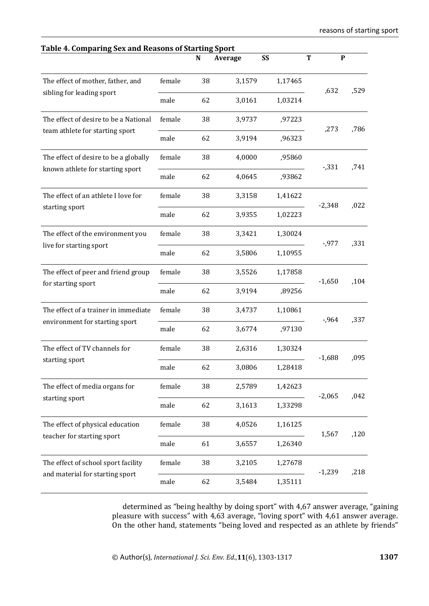| Table 4. Comparing Sex and Reasons of Starting Sport                   |        | N  | Average | <b>SS</b>           | T        | $\mathbf{P}$ |
|------------------------------------------------------------------------|--------|----|---------|---------------------|----------|--------------|
| The effect of mother, father, and                                      | female | 38 | 3,1579  | 1,17465             |          |              |
| sibling for leading sport                                              | male   | 62 | 3,0161  | 1,03214             | ,632     | ,529         |
| The effect of desire to be a National                                  | female | 38 | 3,9737  | ,97223              | ,273     | ,786         |
| team athlete for starting sport                                        | male   | 62 | 3,9194  | ,96323              |          |              |
| The effect of desire to be a globally                                  | female | 38 | 4,0000  | ,95860              | $-0.331$ | ,741         |
| known athlete for starting sport                                       | male   | 62 | 4,0645  | ,93862              |          |              |
| The effect of an athlete I love for                                    | female | 38 | 3,3158  | 1,41622             | $-2,348$ | ,022         |
| starting sport                                                         | male   | 62 | 3,9355  | 1,02223             |          |              |
| The effect of the environment you<br>live for starting sport           | female | 38 | 3,3421  | 1,30024             | $-0.977$ | ,331         |
|                                                                        | male   | 62 | 3,5806  | 1,10955             |          |              |
| The effect of peer and friend group                                    | female | 38 | 3,5526  | 1,17858<br>$-1,650$ | ,104     |              |
| for starting sport                                                     | male   | 62 | 3,9194  | ,89256              |          |              |
| The effect of a trainer in immediate<br>environment for starting sport | female | 38 | 3,4737  | 1,10861             | $-0.964$ | ,337         |
|                                                                        | male   | 62 | 3,6774  | ,97130              |          |              |
| The effect of TV channels for<br>starting sport                        | female | 38 | 2,6316  | 1,30324             | $-1,688$ | ,095         |
|                                                                        | male   | 62 | 3,0806  | 1,28418             |          |              |
| The effect of media organs for<br>starting sport                       | female | 38 | 2,5789  | 1,42623             | $-2,065$ | ,042         |
|                                                                        | male   | 62 | 3,1613  | 1,33298             |          |              |
| The effect of physical education<br>teacher for starting sport         | female | 38 | 4,0526  | 1,16125             | 1,567    | ,120         |
|                                                                        | male   | 61 | 3,6557  | 1,26340             |          |              |
| The effect of school sport facility<br>and material for starting sport | female | 38 | 3,2105  | 1,27678             | $-1,239$ | ,218         |
|                                                                        | male   | 62 | 3,5484  | 1,35111             |          |              |

determined as "being healthy by doing sport" with 4,67 answer average, "gaining pleasure with success" with 4,63 average, "loving sport" with 4,61 answer average. On the other hand, statements "being loved and respected as an athlete by friends"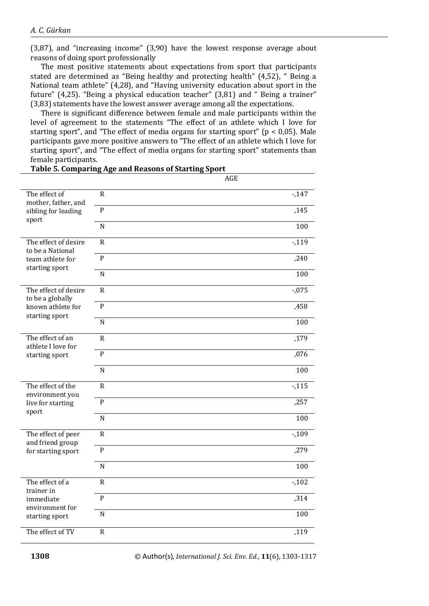(3,87), and "increasing income" (3,90) have the lowest response average about reasons of doing sport professionally

The most positive statements about expectations from sport that participants stated are determined as "Being healthy and protecting health" (4,52), " Being a National team athlete" (4,28), and "Having university education about sport in the future" (4,25). "Being a physical education teacher" (3,81) and " Being a trainer" (3,83) statements have the lowest answer average among all the expectations.

There is significant difference between female and male participants within the level of agreement to the statements "The effect of an athlete which I love for starting sport", and "The effect of media organs for starting sport" ( $p < 0.05$ ). Male participants gave more positive answers to "The effect of an athlete which I love for starting sport", and "The effect of media organs for starting sport" statements than female participants.

|                                          |                | AGE      |
|------------------------------------------|----------------|----------|
| The effect of<br>mother, father, and     | $\mathsf{R}$   | $-147$   |
| sibling for leading<br>sport             | $\mathbf{P}$   | ,145     |
|                                          | $\mathbf N$    | 100      |
| The effect of desire<br>to be a National | $\mathsf{R}$   | $-119$   |
| team athlete for<br>starting sport       | $\mathbf{P}$   | ,240     |
|                                          | $\mathbf N$    | 100      |
| The effect of desire<br>to be a globally | $\overline{R}$ | $-0.075$ |
| known athlete for<br>starting sport      | $\mathbf{P}$   | ,458     |
|                                          | $\mathbf N$    | 100      |
| The effect of an<br>athlete I love for   | $\mathsf{R}$   | ,179     |
| starting sport                           | $\overline{P}$ | ,076     |
|                                          | $\overline{N}$ | 100      |
| The effect of the<br>environment you     | $\mathbf R$    | $-115$   |
| live for starting<br>sport               | $\mathbf{P}$   | ,257     |
|                                          | $\mathbf N$    | 100      |
| The effect of peer<br>and friend group   | $\mathsf{R}$   | $-109$   |
| for starting sport                       | $\mathbf P$    | ,279     |
|                                          | $\overline{N}$ | 100      |
| The effect of a<br>trainer in            | $\mathsf{R}$   | $-102$   |
| immediate<br>environment for             | $\mathbf{P}$   | ,314     |
| starting sport                           | $\mathbf N$    | 100      |
| The effect of TV                         | $\mathsf{R}$   | ,119     |

# **Table 5. Comparing Age and Reasons of Starting Sport**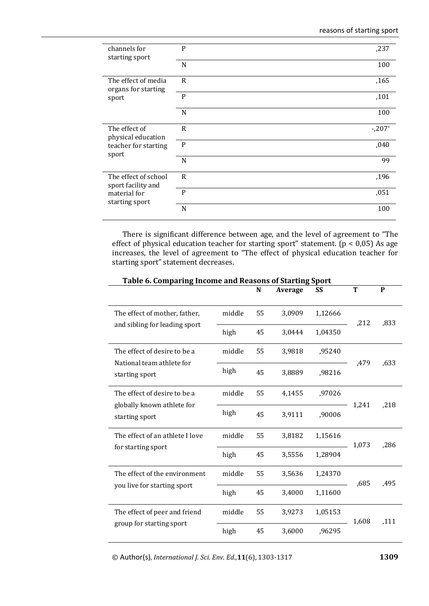| channels for<br>starting sport             | P            | ,237    |
|--------------------------------------------|--------------|---------|
|                                            | N            | 100     |
| The effect of media<br>organs for starting | $\mathsf{R}$ | ,165    |
| sport                                      | P            | ,101    |
|                                            | N            | 100     |
| The effect of<br>physical education        | $\mathsf{R}$ | $-207*$ |
| teacher for starting<br>sport              | P            | ,040    |
|                                            | N            | 99      |
| The effect of school<br>sport facility and | $\mathsf{R}$ | ,196    |
| material for<br>starting sport             | P            | ,051    |
|                                            | N            | 100     |

There is significant difference between age, and the level of agreement to "The effect of physical education teacher for starting sport" statement. ( $p < 0.05$ ) As age increases, the level of agreement to "The effect of physical education teacher for starting sport" statement decreases.

|                                                                              |        | N  | Average | SS      | Т     | P    |
|------------------------------------------------------------------------------|--------|----|---------|---------|-------|------|
| The effect of mother, father,                                                | middle | 55 | 3,0909  | 1,12666 | ,212  | ,833 |
| and sibling for leading sport                                                | high   | 45 | 3,0444  | 1,04350 |       |      |
| The effect of desire to be a<br>National team athlete for<br>starting sport  | middle | 55 | 3,9818  | ,95240  |       |      |
|                                                                              | high   | 45 | 3,8889  | ,98216  | ,479  | ,633 |
| The effect of desire to be a<br>globally known athlete for<br>starting sport | middle | 55 | 4,1455  | ,97026  |       |      |
|                                                                              | high   | 45 | 3,9111  | ,90006  | 1,241 | ,218 |
| The effect of an athlete I love<br>for starting sport                        | middle | 55 | 3,8182  | 1,15616 | 1,073 | ,286 |
|                                                                              | high   | 45 | 3,5556  | 1,28904 |       |      |
| The effect of the environment                                                | middle | 55 | 3,5636  | 1,24370 | ,685  | ,495 |
| you live for starting sport                                                  | high   | 45 | 3,4000  | 1,11600 |       |      |
| The effect of peer and friend                                                | middle | 55 | 3,9273  | 1,05153 | 1,608 | ,111 |
| group for starting sport                                                     | high   | 45 | 3,6000  | .96295  |       |      |

## **Table 6. Comparing Income and Reasons of Starting Sport**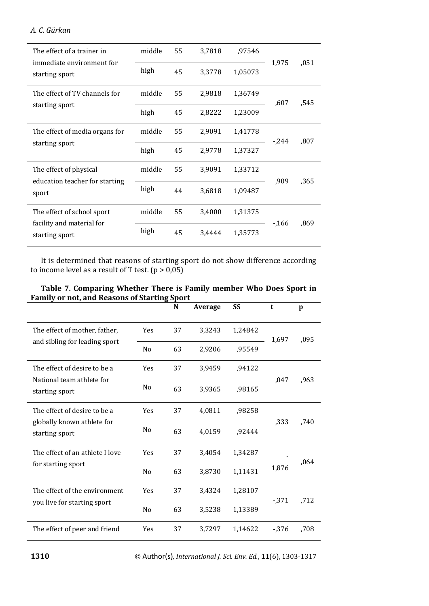| The effect of a trainer in<br>immediate environment for<br>starting sport | middle | 55 | 3,7818 | ,97546  |        |      |
|---------------------------------------------------------------------------|--------|----|--------|---------|--------|------|
|                                                                           | high   | 45 | 3,3778 | 1,05073 | 1,975  | .051 |
| The effect of TV channels for                                             | middle | 55 | 2,9818 | 1,36749 | .607   | .545 |
| starting sport                                                            | high   | 45 | 2,8222 | 1,23009 |        |      |
| The effect of media organs for                                            | middle | 55 | 2,9091 | 1,41778 | $-244$ | .807 |
| starting sport                                                            | high   | 45 | 2,9778 | 1,37327 |        |      |
| The effect of physical                                                    | middle | 55 | 3,9091 | 1,33712 |        |      |
| education teacher for starting<br>sport                                   | high   | 44 | 3,6818 | 1,09487 | ,909   | .365 |
| The effect of school sport                                                | middle | 55 | 3,4000 | 1,31375 |        |      |
| facility and material for<br>starting sport                               | high   | 45 | 3,4444 | 1,35773 | $-166$ | ,869 |

It is determined that reasons of starting sport do not show difference according to income level as a result of T test.  $(p > 0,05)$ 

| Table 7. Comparing Whether There is Family member Who Does Sport in |  |  |
|---------------------------------------------------------------------|--|--|
| <b>Family or not, and Reasons of Starting Sport</b>                 |  |  |

| or not, and neasons or starting sport                                       |                | N  | Average | SS      | t        | p    |
|-----------------------------------------------------------------------------|----------------|----|---------|---------|----------|------|
| The effect of mother, father,<br>and sibling for leading sport              | Yes            | 37 | 3,3243  | 1,24842 | 1,697    |      |
|                                                                             | N <sub>0</sub> | 63 | 2,9206  | ,95549  |          | ,095 |
| The effect of desire to be a<br>National team athlete for<br>starting sport | Yes            | 37 | 3,9459  | ,94122  |          |      |
|                                                                             | N <sub>0</sub> | 63 | 3,9365  | ,98165  | .047     | .963 |
| The effect of desire to be a                                                | Yes            | 37 | 4,0811  | ,98258  |          |      |
| globally known athlete for<br>starting sport                                | N <sub>0</sub> | 63 | 4,0159  | ,92444  | ,333     | .740 |
| The effect of an athlete I love                                             | Yes            | 37 | 3,4054  | 1,34287 |          | ,064 |
| for starting sport                                                          | N <sub>0</sub> | 63 | 3,8730  | 1,11431 | 1,876    |      |
| The effect of the environment                                               | Yes            | 37 | 3,4324  | 1,28107 | $-0.371$ | .712 |
| you live for starting sport                                                 | N <sub>0</sub> | 63 | 3,5238  | 1,13389 |          |      |
| The effect of peer and friend                                               | Yes            | 37 | 3,7297  | 1,14622 | $-0.376$ | .708 |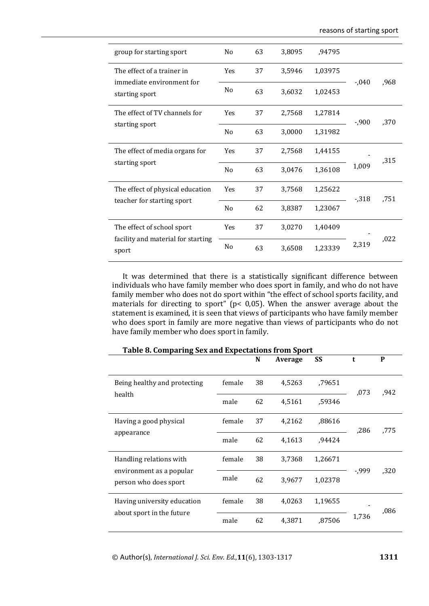| group for starting sport                    | No             | 63 | 3,8095 | ,94795  |          |      |
|---------------------------------------------|----------------|----|--------|---------|----------|------|
| The effect of a trainer in                  | Yes            | 37 | 3,5946 | 1,03975 |          |      |
| immediate environment for<br>starting sport | N <sub>0</sub> | 63 | 3,6032 | 1,02453 | $-.040$  | ,968 |
| The effect of TV channels for               | Yes            | 37 | 2,7568 | 1,27814 | $-0.900$ | ,370 |
| starting sport                              | N <sub>0</sub> | 63 | 3,0000 | 1,31982 |          |      |
| The effect of media organs for              | <b>Yes</b>     | 37 | 2,7568 | 1,44155 |          | ,315 |
| starting sport                              | No             | 63 | 3,0476 | 1,36108 | 1,009    |      |
| The effect of physical education            | Yes            | 37 | 3,7568 | 1,25622 | $-0.318$ | .751 |
| teacher for starting sport                  | No             | 62 | 3,8387 | 1,23067 |          |      |
| The effect of school sport                  | Yes            | 37 | 3,0270 | 1,40409 |          |      |
| facility and material for starting<br>sport | N <sub>0</sub> | 63 | 3,6508 | 1,23339 | 2,319    | ,022 |

It was determined that there is a statistically significant difference between individuals who have family member who does sport in family, and who do not have family member who does not do sport within "the effect of school sports facility, and materials for directing to sport" (p< 0,05). When the answer average about the statement is examined, it is seen that views of participants who have family member who does sport in family are more negative than views of participants who do not have family member who does sport in family.

| Table 8. Comparing Sex and Expectations from Sport                           |        | N  | Average | SS      | t     | P    |
|------------------------------------------------------------------------------|--------|----|---------|---------|-------|------|
| Being healthy and protecting<br>health                                       | female | 38 | 4,5263  | .79651  | ,073  | ,942 |
|                                                                              | male   | 62 | 4,5161  | .59346  |       |      |
| Having a good physical<br>appearance                                         | female | 37 | 4,2162  | ,88616  | ,286  | .775 |
|                                                                              | male   | 62 | 4,1613  | .94424  |       |      |
| Handling relations with<br>environment as a popular<br>person who does sport | female | 38 | 3,7368  | 1,26671 |       |      |
|                                                                              | male   | 62 | 3,9677  | 1,02378 | -,999 | ,320 |
| Having university education                                                  | female | 38 | 4,0263  | 1,19655 |       | ,086 |
| about sport in the future                                                    | male   | 62 | 4,3871  | ,87506  | 1,736 |      |

**Table 8. Comparing Sex and Expectations from Sport**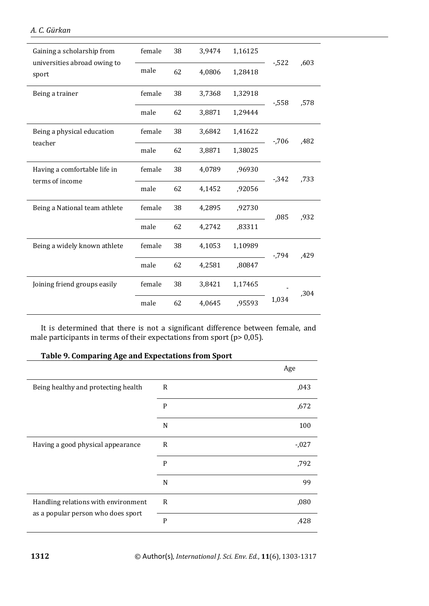| Gaining a scholarship from<br>universities abroad owing to<br>sport | female | 38 | 3,9474 | 1,16125 | $-522$   | ,603 |
|---------------------------------------------------------------------|--------|----|--------|---------|----------|------|
|                                                                     | male   | 62 | 4,0806 | 1,28418 |          |      |
| Being a trainer                                                     | female | 38 | 3,7368 | 1,32918 | $-0.558$ | ,578 |
|                                                                     | male   | 62 | 3,8871 | 1,29444 |          |      |
| Being a physical education<br>teacher                               | female | 38 | 3,6842 | 1,41622 | $-706$   | ,482 |
|                                                                     | male   | 62 | 3,8871 | 1,38025 |          |      |
| Having a comfortable life in                                        | female | 38 | 4,0789 | ,96930  | $-0.342$ | ,733 |
| terms of income                                                     | male   | 62 | 4,1452 | ,92056  |          |      |
| Being a National team athlete                                       | female | 38 | 4,2895 | ,92730  | ,085     | ,932 |
|                                                                     | male   | 62 | 4,2742 | ,83311  |          |      |
| Being a widely known athlete                                        | female | 38 | 4,1053 | 1,10989 | $-794$   | .429 |
|                                                                     | male   | 62 | 4,2581 | ,80847  |          |      |
| Joining friend groups easily                                        | female | 38 | 3,8421 | 1,17465 | 1,034    | ,304 |
|                                                                     | male   | 62 | 4,0645 | ,95593  |          |      |

It is determined that there is not a significant difference between female, and male participants in terms of their expectations from sport (p> 0,05).

| Table 9. Comparing Age and Expectations from Sport                        |              |          |  |
|---------------------------------------------------------------------------|--------------|----------|--|
|                                                                           |              | Age      |  |
| Being healthy and protecting health                                       | R            | ,043     |  |
|                                                                           | P            | ,672     |  |
|                                                                           | N            | 100      |  |
| Having a good physical appearance                                         | $\mathsf{R}$ | $-0.027$ |  |
|                                                                           | P            | ,792     |  |
|                                                                           | N            | 99       |  |
| Handling relations with environment<br>as a popular person who does sport | R            | ,080     |  |
|                                                                           | P            | .428     |  |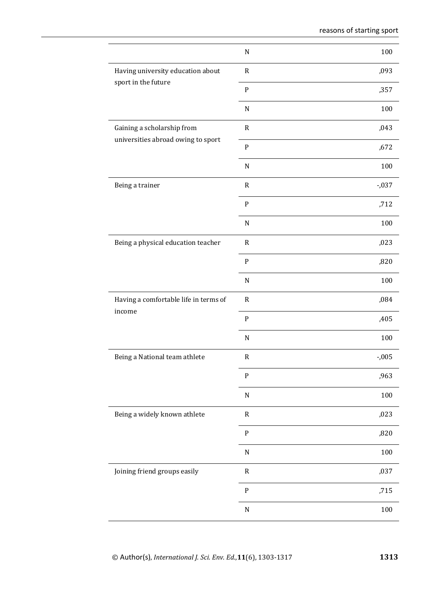|                                                                  | ${\bf N}$    | 100      |
|------------------------------------------------------------------|--------------|----------|
| Having university education about                                | $\mathbf R$  | ,093     |
| sport in the future                                              | ${\bf P}$    | ,357     |
|                                                                  | ${\bf N}$    | 100      |
| Gaining a scholarship from<br>universities abroad owing to sport | ${\sf R}$    | ,043     |
|                                                                  | ${\bf P}$    | ,672     |
|                                                                  | ${\bf N}$    | 100      |
| Being a trainer                                                  | $\mathsf{R}$ | $-0.037$ |
|                                                                  | ${\bf P}$    | ,712     |
|                                                                  | ${\bf N}$    | 100      |
| Being a physical education teacher                               | $\mathbf R$  | ,023     |
|                                                                  | ${\bf P}$    | ,820     |
|                                                                  | ${\bf N}$    | 100      |
| Having a comfortable life in terms of<br>income                  | $\mathbf R$  | ,084     |
|                                                                  | ${\bf P}$    | ,405     |
|                                                                  | ${\bf N}$    | 100      |
| Being a National team athlete                                    | ${\sf R}$    | $-0.005$ |
|                                                                  | ${\bf P}$    | ,963     |
|                                                                  | ${\bf N}$    | 100      |
| Being a widely known athlete                                     | $\mathsf{R}$ | ,023     |
|                                                                  | ${\bf P}$    | ,820     |
|                                                                  | ${\bf N}$    | 100      |
| Joining friend groups easily                                     | ${\tt R}$    | ,037     |
|                                                                  | ${\bf P}$    | ,715     |
|                                                                  | $\mathbf N$  | 100      |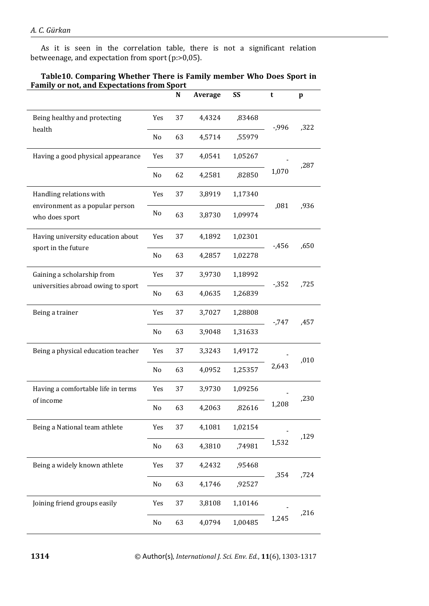As it is seen in the correlation table, there is not a significant relation betweenage, and expectation from sport (p:>0,05).

|                                                                              |     | ${\bf N}$ | Average | SS      | t        | $\mathbf{p}$ |
|------------------------------------------------------------------------------|-----|-----------|---------|---------|----------|--------------|
| Being healthy and protecting<br>health                                       | Yes | 37        | 4,4324  | ,83468  | -,996    | ,322         |
|                                                                              | No  | 63        | 4,5714  | ,55979  |          |              |
| Having a good physical appearance                                            | Yes | 37        | 4,0541  | 1,05267 | 1,070    | ,287         |
|                                                                              | No  | 62        | 4,2581  | ,82850  |          |              |
| Handling relations with<br>environment as a popular person<br>who does sport | Yes | 37        | 3,8919  | 1,17340 | ,081     | ,936         |
|                                                                              | No  | 63        | 3,8730  | 1,09974 |          |              |
| Having university education about<br>sport in the future                     | Yes | 37        | 4,1892  | 1,02301 | $-456$   | ,650         |
|                                                                              | No  | 63        | 4,2857  | 1,02278 |          |              |
| Gaining a scholarship from<br>universities abroad owing to sport             | Yes | 37        | 3,9730  | 1,18992 | $-0.352$ | ,725         |
|                                                                              | No  | 63        | 4,0635  | 1,26839 |          |              |
| Being a trainer                                                              | Yes | 37        | 3,7027  | 1,28808 | $-747$   | ,457         |
|                                                                              | No  | 63        | 3,9048  | 1,31633 |          |              |
| Being a physical education teacher                                           | Yes | 37        | 3,3243  | 1,49172 | 2,643    | ,010         |
|                                                                              | No  | 63        | 4,0952  | 1,25357 |          |              |
| Having a comfortable life in terms<br>of income                              | Yes | 37        | 3,9730  | 1,09256 | 1,208    | ,230         |
|                                                                              | No  | 63        | 4,2063  | ,82616  |          |              |
| Being a National team athlete                                                | Yes | 37        | 4,1081  | 1,02154 | 1,532    | ,129         |
|                                                                              | No  | 63        | 4,3810  | ,74981  |          |              |
| Being a widely known athlete                                                 | Yes | 37        | 4,2432  | ,95468  | ,354     | ,724         |
|                                                                              | No  | 63        | 4,1746  | ,92527  |          |              |
| Joining friend groups easily                                                 | Yes | 37        | 3,8108  | 1,10146 | 1,245    | ,216         |
|                                                                              | No  | 63        | 4,0794  | 1,00485 |          |              |

# **Table10. Comparing Whether There is Family member Who Does Sport in Family or not, and Expectations from Sport**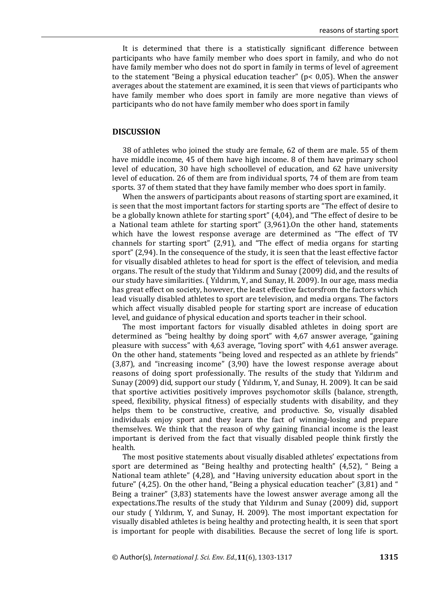It is determined that there is a statistically significant difference between participants who have family member who does sport in family, and who do not have family member who does not do sport in family in terms of level of agreement to the statement "Being a physical education teacher" ( $p < 0.05$ ). When the answer averages about the statement are examined, it is seen that views of participants who have family member who does sport in family are more negative than views of participants who do not have family member who does sport in family

### **DISCUSSION**

38 of athletes who joined the study are female, 62 of them are male. 55 of them have middle income, 45 of them have high income. 8 of them have primary school level of education, 30 have high schoollevel of education, and 62 have university level of education. 26 of them are from individual sports, 74 of them are from team sports. 37 of them stated that they have family member who does sport in family.

When the answers of participants about reasons of starting sport are examined, it is seen that the most important factors for starting sports are "The effect of desire to be a globally known athlete for starting sport" (4,04), and "The effect of desire to be a National team athlete for starting sport" (3,961).On the other hand, statements which have the lowest response average are determined as "The effect of TV channels for starting sport" (2,91), and "The effect of media organs for starting sport" (2,94). In the consequence of the study, it is seen that the least effective factor for visually disabled athletes to head for sport is the effect of television, and media organs. The result of the study that Yıldırım and Sunay (2009) did, and the results of our study have similarities. ( Yıldırım, Y, and Sunay, H. 2009). In our age, mass media has great effect on society, however, the least effective factorsfrom the factors which lead visually disabled athletes to sport are television, and media organs. The factors which affect visually disabled people for starting sport are increase of education level, and guidance of physical education and sports teacher in their school.

The most important factors for visually disabled athletes in doing sport are determined as "being healthy by doing sport" with 4,67 answer average, "gaining pleasure with success" with 4,63 average, "loving sport" with 4,61 answer average. On the other hand, statements "being loved and respected as an athlete by friends" (3,87), and "increasing income" (3,90) have the lowest response average about reasons of doing sport professionally. The results of the study that Yıldırım and Sunay (2009) did, support our study ( Yıldırım, Y, and Sunay, H. 2009). It can be said that sportive activities positively improves psychomotor skills (balance, strength, speed, flexibility, physical fitness) of especially students with disability, and they helps them to be constructive, creative, and productive. So, visually disabled individuals enjoy sport and they learn the fact of winning-losing and prepare themselves. We think that the reason of why gaining financial income is the least important is derived from the fact that visually disabled people think firstly the health.

The most positive statements about visually disabled athletes' expectations from sport are determined as "Being healthy and protecting health" (4,52), " Being a National team athlete" (4,28), and "Having university education about sport in the future" (4,25). On the other hand, "Being a physical education teacher" (3,81) and " Being a trainer" (3,83) statements have the lowest answer average among all the expectations.The results of the study that Yıldırım and Sunay (2009) did, support our study ( Yıldırım, Y, and Sunay, H. 2009). The most important expectation for visually disabled athletes is being healthy and protecting health, it is seen that sport is important for people with disabilities. Because the secret of long life is sport.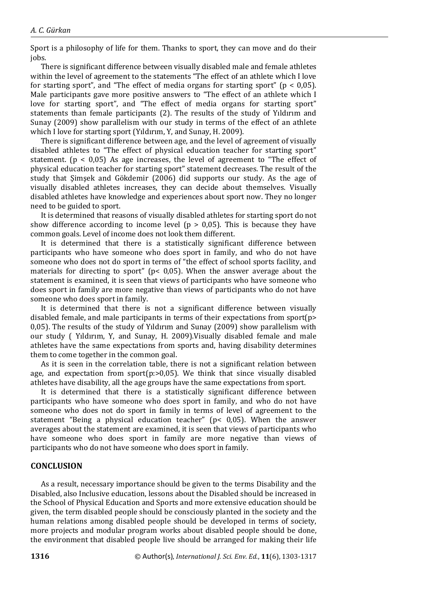Sport is a philosophy of life for them. Thanks to sport, they can move and do their jobs.

There is significant difference between visually disabled male and female athletes within the level of agreement to the statements "The effect of an athlete which I love for starting sport", and "The effect of media organs for starting sport" ( $p < 0.05$ ). Male participants gave more positive answers to "The effect of an athlete which I love for starting sport", and "The effect of media organs for starting sport" statements than female participants (2). The results of the study of Yıldırım and Sunay (2009) show parallelism with our study in terms of the effect of an athlete which I love for starting sport (Yıldırım, Y, and Sunay, H. 2009).

There is significant difference between age, and the level of agreement of visually disabled athletes to "The effect of physical education teacher for starting sport" statement. ( $p < 0.05$ ) As age increases, the level of agreement to "The effect of physical education teacher for starting sport" statement decreases. The result of the study that Şimşek and Gökdemir (2006) did supports our study. As the age of visually disabled athletes increases, they can decide about themselves. Visually disabled athletes have knowledge and experiences about sport now. They no longer need to be guided to sport.

It is determined that reasons of visually disabled athletes for starting sport do not show difference according to income level ( $p > 0.05$ ). This is because they have common goals. Level of income does not look them different.

It is determined that there is a statistically significant difference between participants who have someone who does sport in family, and who do not have someone who does not do sport in terms of "the effect of school sports facility, and materials for directing to sport" (p< 0,05). When the answer average about the statement is examined, it is seen that views of participants who have someone who does sport in family are more negative than views of participants who do not have someone who does sport in family.

It is determined that there is not a significant difference between visually disabled female, and male participants in terms of their expectations from sport(p> 0,05). The results of the study of Yıldırım and Sunay (2009) show parallelism with our study ( Yıldırım, Y, and Sunay, H. 2009).Visually disabled female and male athletes have the same expectations from sports and, having disability determines them to come together in the common goal.

As it is seen in the correlation table, there is not a significant relation between age, and expectation from sport $(p:=0,05)$ . We think that since visually disabled athletes have disability, all the age groups have the same expectations from sport.

It is determined that there is a statistically significant difference between participants who have someone who does sport in family, and who do not have someone who does not do sport in family in terms of level of agreement to the statement "Being a physical education teacher" (p< 0,05). When the answer averages about the statement are examined, it is seen that views of participants who have someone who does sport in family are more negative than views of participants who do not have someone who does sport in family.

## **CONCLUSION**

As a result, necessary importance should be given to the terms Disability and the Disabled, also Inclusive education, lessons about the Disabled should be increased in the School of Physical Education and Sports and more extensive education should be given, the term disabled people should be consciously planted in the society and the human relations among disabled people should be developed in terms of society, more projects and modular program works about disabled people should be done, the environment that disabled people live should be arranged for making their life